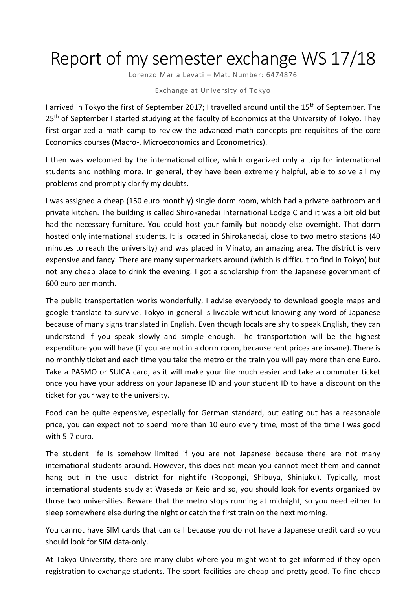## Report of my semester exchange WS 17/18

Lorenzo Maria Levati - Mat. Number: 6474876

## Exchange at University of Tokyo

I arrived in Tokyo the first of September 2017; I travelled around until the 15<sup>th</sup> of September. The 25<sup>th</sup> of September I started studying at the faculty of Economics at the University of Tokyo. They first organized a math camp to review the advanced math concepts pre-requisites of the core Economics courses (Macro-, Microeconomics and Econometrics).

I then was welcomed by the international office, which organized only a trip for international students and nothing more. In general, they have been extremely helpful, able to solve all my problems and promptly clarify my doubts.

I was assigned a cheap (150 euro monthly) single dorm room, which had a private bathroom and private kitchen. The building is called Shirokanedai International Lodge C and it was a bit old but had the necessary furniture. You could host your family but nobody else overnight. That dorm hosted only international students. It is located in Shirokanedai, close to two metro stations (40 minutes to reach the university) and was placed in Minato, an amazing area. The district is very expensive and fancy. There are many supermarkets around (which is difficult to find in Tokyo) but not any cheap place to drink the evening. I got a scholarship from the Japanese government of 600 euro per month.

The public transportation works wonderfully, I advise everybody to download google maps and google translate to survive. Tokyo in general is liveable without knowing any word of Japanese because of many signs translated in English. Even though locals are shy to speak English, they can understand if you speak slowly and simple enough. The transportation will be the highest expenditure you will have (if you are not in a dorm room, because rent prices are insane). There is no monthly ticket and each time you take the metro or the train you will pay more than one Euro. Take a PASMO or SUICA card, as it will make your life much easier and take a commuter ticket once you have your address on your Japanese ID and your student ID to have a discount on the ticket for your way to the university.

Food can be quite expensive, especially for German standard, but eating out has a reasonable price, you can expect not to spend more than 10 euro every time, most of the time I was good with 5-7 euro.

The student life is somehow limited if you are not Japanese because there are not many international students around. However, this does not mean you cannot meet them and cannot hang out in the usual district for nightlife (Roppongi, Shibuya, Shinjuku). Typically, most international students study at Waseda or Keio and so, you should look for events organized by those two universities. Beware that the metro stops running at midnight, so you need either to sleep somewhere else during the night or catch the first train on the next morning.

You cannot have SIM cards that can call because you do not have a Japanese credit card so you should look for SIM data-only.

At Tokyo University, there are many clubs where you might want to get informed if they open registration to exchange students. The sport facilities are cheap and pretty good. To find cheap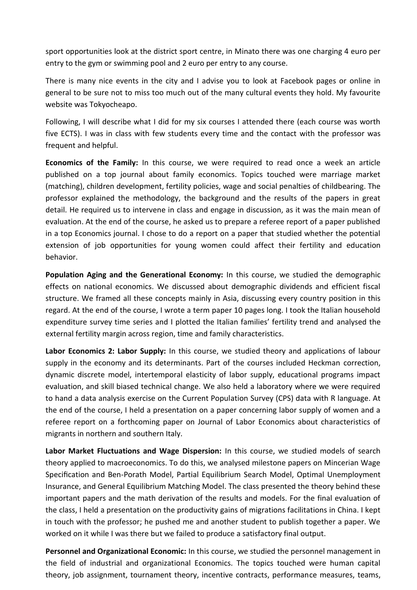sport opportunities look at the district sport centre, in Minato there was one charging 4 euro per entry to the gym or swimming pool and 2 euro per entry to any course.

There is many nice events in the city and I advise you to look at Facebook pages or online in general to be sure not to miss too much out of the many cultural events they hold. My favourite website was Tokyocheapo.

Following, I will describe what I did for my six courses I attended there (each course was worth five ECTS). I was in class with few students every time and the contact with the professor was frequent and helpful.

**Economics of the Family:** In this course, we were required to read once a week an article published on a top journal about family economics. Topics touched were marriage market (matching), children development, fertility policies, wage and social penalties of childbearing. The professor explained the methodology, the background and the results of the papers in great detail. He required us to intervene in class and engage in discussion, as it was the main mean of evaluation. At the end of the course, he asked us to prepare a referee report of a paper published in a top Economics journal. I chose to do a report on a paper that studied whether the potential extension of job opportunities for young women could affect their fertility and education behavior.

**Population Aging and the Generational Economy:** In this course, we studied the demographic effects on national economics. We discussed about demographic dividends and efficient fiscal structure. We framed all these concepts mainly in Asia, discussing every country position in this regard. At the end of the course, I wrote a term paper 10 pages long. I took the Italian household expenditure survey time series and I plotted the Italian families' fertility trend and analysed the external fertility margin across region, time and family characteristics.

**Labor Economics 2: Labor Supply:** In this course, we studied theory and applications of labour supply in the economy and its determinants. Part of the courses included Heckman correction, dynamic discrete model, intertemporal elasticity of labor supply, educational programs impact evaluation, and skill biased technical change. We also held a laboratory where we were required to hand a data analysis exercise on the Current Population Survey (CPS) data with R language. At the end of the course, I held a presentation on a paper concerning labor supply of women and a referee report on a forthcoming paper on Journal of Labor Economics about characteristics of migrants in northern and southern Italy.

**Labor Market Fluctuations and Wage Dispersion:** In this course, we studied models of search theory applied to macroeconomics. To do this, we analysed milestone papers on Mincerian Wage Specification and Ben-Porath Model, Partial Equilibrium Search Model, Optimal Unemployment Insurance, and General Equilibrium Matching Model. The class presented the theory behind these important papers and the math derivation of the results and models. For the final evaluation of the class, I held a presentation on the productivity gains of migrations facilitations in China. I kept in touch with the professor; he pushed me and another student to publish together a paper. We worked on it while I was there but we failed to produce a satisfactory final output.

**Personnel and Organizational Economic:** In this course, we studied the personnel management in the field of industrial and organizational Economics. The topics touched were human capital theory, job assignment, tournament theory, incentive contracts, performance measures, teams,